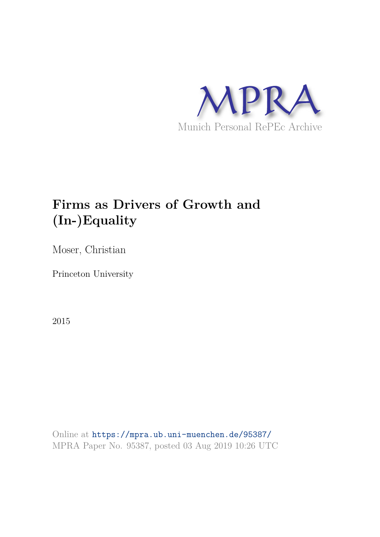

# **Firms as Drivers of Growth and (In-)Equality**

Moser, Christian

Princeton University

2015

Online at https://mpra.ub.uni-muenchen.de/95387/ MPRA Paper No. 95387, posted 03 Aug 2019 10:26 UTC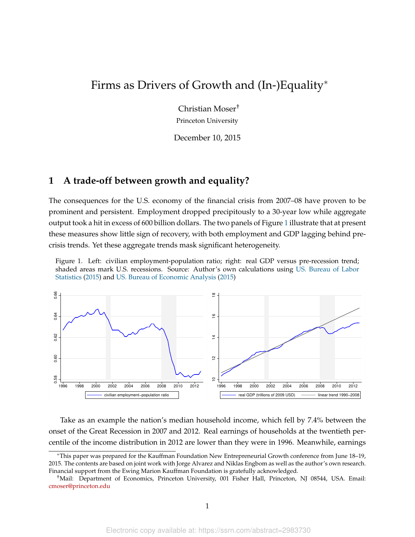# Firms as Drivers of Growth and (In-)Equality<sup>∗</sup>

Christian Moser†

Princeton University

December 10, 2015

## **1 A trade-off between growth and equality?**

The consequences for the U.S. economy of the financial crisis from 2007–08 have proven to be prominent and persistent. Employment dropped precipitously to a 30-year low while aggregate output took a hit in excess of 600 billion dollars. The two panels of Figure 1 illustrate that at present these measures show little sign of recovery, with both employment and GDP lagging behind precrisis trends. Yet these aggregate trends mask significant heterogeneity.

Figure 1. Left: civilian employment-population ratio; right: real GDP versus pre-recession trend; shaded areas mark U.S. recessions. Source: Author's own calculations using US. Bureau of Labor Statistics (2015) and US. Bureau of Economic Analysis (2015)



Take as an example the nation's median household income, which fell by 7.4% between the onset of the Great Recession in 2007 and 2012. Real earnings of households at the twentieth percentile of the income distribution in 2012 are lower than they were in 1996. Meanwhile, earnings

<sup>∗</sup>This paper was prepared for the Kauffman Foundation New Entrepreneurial Growth conference from June 18–19, 2015. The contents are based on joint work with Jorge Alvarez and Niklas Engbom as well as the author's own research. Financial support from the Ewing Marion Kauffman Foundation is gratefully acknowledged.

<sup>†</sup>Mail: Department of Economics, Princeton University, 001 Fisher Hall, Princeton, NJ 08544, USA. Email: cmoser@princeton.edu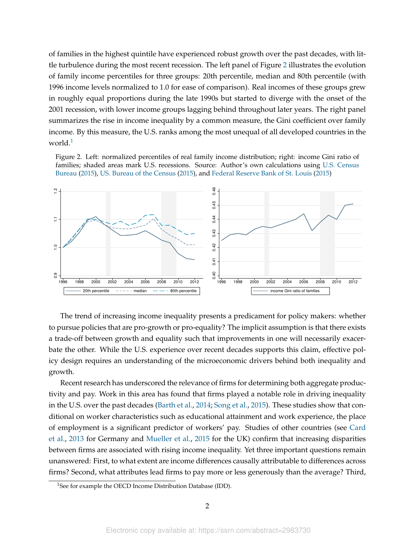of families in the highest quintile have experienced robust growth over the past decades, with little turbulence during the most recent recession. The left panel of Figure 2 illustrates the evolution of family income percentiles for three groups: 20th percentile, median and 80th percentile (with 1996 income levels normalized to 1.0 for ease of comparison). Real incomes of these groups grew in roughly equal proportions during the late 1990s but started to diverge with the onset of the 2001 recession, with lower income groups lagging behind throughout later years. The right panel summarizes the rise in income inequality by a common measure, the Gini coefficient over family income. By this measure, the U.S. ranks among the most unequal of all developed countries in the world. $<sup>1</sup>$ </sup>

Figure 2. Left: normalized percentiles of real family income distribution; right: income Gini ratio of families; shaded areas mark U.S. recessions. Source: Author's own calculations using U.S. Census Bureau (2015), US. Bureau of the Census (2015), and Federal Reserve Bank of St. Louis (2015)



The trend of increasing income inequality presents a predicament for policy makers: whether to pursue policies that are pro-growth or pro-equality? The implicit assumption is that there exists a trade-off between growth and equality such that improvements in one will necessarily exacerbate the other. While the U.S. experience over recent decades supports this claim, effective policy design requires an understanding of the microeconomic drivers behind both inequality and growth.

Recent research has underscored the relevance of firms for determining both aggregate productivity and pay. Work in this area has found that firms played a notable role in driving inequality in the U.S. over the past decades (Barth et al., 2014; Song et al., 2015). These studies show that conditional on worker characteristics such as educational attainment and work experience, the place of employment is a significant predictor of workers' pay. Studies of other countries (see Card et al., 2013 for Germany and Mueller et al., 2015 for the UK) confirm that increasing disparities between firms are associated with rising income inequality. Yet three important questions remain unanswered: First, to what extent are income differences causally attributable to differences across firms? Second, what attributes lead firms to pay more or less generously than the average? Third,

<sup>&</sup>lt;sup>1</sup>See for example the OECD Income Distribution Database (IDD).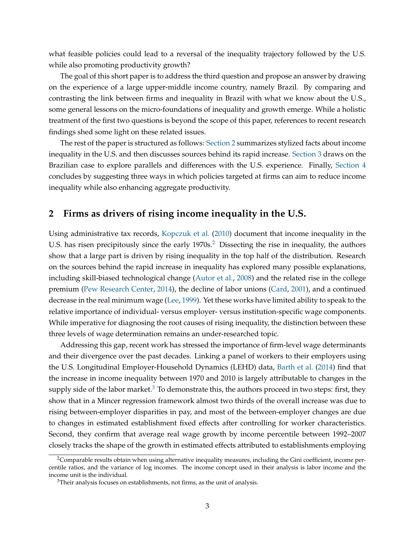what feasible policies could lead to a reversal of the inequality trajectory followed by the U.S. while also promoting productivity growth?

The goal of this short paper is to address the third question and propose an answer by drawing on the experience of a large upper-middle income country, namely Brazil. By comparing and contrasting the link between firms and inequality in Brazil with what we know about the U.S., some general lessons on the micro-foundations of inequality and growth emerge. While a holistic treatment of the first two questions is beyond the scope of this paper, references to recent research findings shed some light on these related issues.

The rest of the paper is structured as follows: Section 2 summarizes stylized facts about income inequality in the U.S. and then discusses sources behind its rapid increase. Section 3 draws on the Brazilian case to explore parallels and differences with the U.S. experience. Finally, Section 4 concludes by suggesting three ways in which policies targeted at firms can aim to reduce income inequality while also enhancing aggregate productivity.

#### **2 Firms as drivers of rising income inequality in the U.S.**

Using administrative tax records, Kopczuk et al. (2010) document that income inequality in the U.S. has risen precipitously since the early  $1970s<sup>2</sup>$ . Dissecting the rise in inequality, the authors show that a large part is driven by rising inequality in the top half of the distribution. Research on the sources behind the rapid increase in inequality has explored many possible explanations, including skill-biased technological change (Autor et al., 2008) and the related rise in the college premium (Pew Research Center, 2014), the decline of labor unions (Card, 2001), and a continued decrease in the real minimum wage (Lee, 1999). Yet these works have limited ability to speak to the relative importance of individual- versus employer- versus institution-specific wage components. While imperative for diagnosing the root causes of rising inequality, the distinction between these three levels of wage determination remains an under-researched topic.

Addressing this gap, recent work has stressed the importance of firm-level wage determinants and their divergence over the past decades. Linking a panel of workers to their employers using the U.S. Longitudinal Employer-Household Dynamics (LEHD) data, Barth et al. (2014) find that the increase in income inequality between 1970 and 2010 is largely attributable to changes in the supply side of the labor market.<sup>3</sup> To demonstrate this, the authors proceed in two steps: first, they show that in a Mincer regression framework almost two thirds of the overall increase was due to rising between-employer disparities in pay, and most of the between-employer changes are due to changes in estimated establishment fixed effects after controlling for worker characteristics. Second, they confirm that average real wage growth by income percentile between 1992–2007 closely tracks the shape of the growth in estimated effects attributed to establishments employing

<sup>&</sup>lt;sup>2</sup>Comparable results obtain when using alternative inequality measures, including the Gini coefficient, income percentile ratios, and the variance of log incomes. The income concept used in their analysis is labor income and the income unit is the individual.

<sup>&</sup>lt;sup>3</sup>Their analysis focuses on establishments, not firms, as the unit of analysis.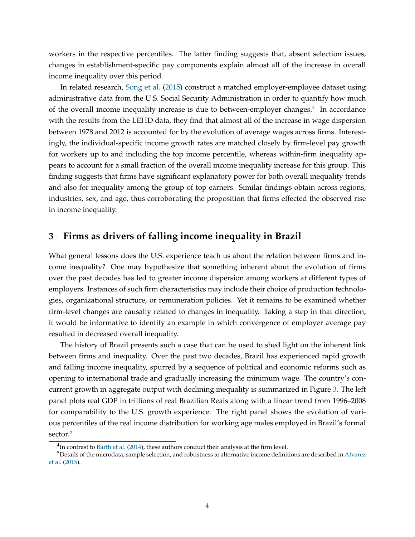workers in the respective percentiles. The latter finding suggests that, absent selection issues, changes in establishment-specific pay components explain almost all of the increase in overall income inequality over this period.

In related research, Song et al. (2015) construct a matched employer-employee dataset using administrative data from the U.S. Social Security Administration in order to quantify how much of the overall income inequality increase is due to between-employer changes. $4$  In accordance with the results from the LEHD data, they find that almost all of the increase in wage dispersion between 1978 and 2012 is accounted for by the evolution of average wages across firms. Interestingly, the individual-specific income growth rates are matched closely by firm-level pay growth for workers up to and including the top income percentile, whereas within-firm inequality appears to account for a small fraction of the overall income inequality increase for this group. This finding suggests that firms have significant explanatory power for both overall inequality trends and also for inequality among the group of top earners. Similar findings obtain across regions, industries, sex, and age, thus corroborating the proposition that firms effected the observed rise in income inequality.

### **3 Firms as drivers of falling income inequality in Brazil**

What general lessons does the U.S. experience teach us about the relation between firms and income inequality? One may hypothesize that something inherent about the evolution of firms over the past decades has led to greater income dispersion among workers at different types of employers. Instances of such firm characteristics may include their choice of production technologies, organizational structure, or remuneration policies. Yet it remains to be examined whether firm-level changes are causally related to changes in inequality. Taking a step in that direction, it would be informative to identify an example in which convergence of employer average pay resulted in decreased overall inequality.

The history of Brazil presents such a case that can be used to shed light on the inherent link between firms and inequality. Over the past two decades, Brazil has experienced rapid growth and falling income inequality, spurred by a sequence of political and economic reforms such as opening to international trade and gradually increasing the minimum wage. The country's concurrent growth in aggregate output with declining inequality is summarized in Figure 3. The left panel plots real GDP in trillions of real Brazilian Reais along with a linear trend from 1996–2008 for comparability to the U.S. growth experience. The right panel shows the evolution of various percentiles of the real income distribution for working age males employed in Brazil's formal sector.<sup>5</sup>

 $^{4}$ In contrast to Barth et al. (2014), these authors conduct their analysis at the firm level.

<sup>&</sup>lt;sup>5</sup>Details of the microdata, sample selection, and robustness to alternative income definitions are described in Alvarez et al. (2015).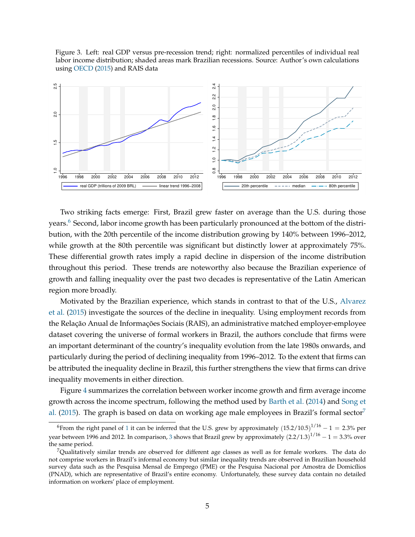Figure 3. Left: real GDP versus pre-recession trend; right: normalized percentiles of individual real labor income distribution; shaded areas mark Brazilian recessions. Source: Author's own calculations using OECD (2015) and RAIS data



Two striking facts emerge: First, Brazil grew faster on average than the U.S. during those years.<sup>6</sup> Second, labor income growth has been particularly pronounced at the bottom of the distribution, with the 20th percentile of the income distribution growing by 140% between 1996–2012, while growth at the 80th percentile was significant but distinctly lower at approximately 75%. These differential growth rates imply a rapid decline in dispersion of the income distribution throughout this period. These trends are noteworthy also because the Brazilian experience of growth and falling inequality over the past two decades is representative of the Latin American region more broadly.

Motivated by the Brazilian experience, which stands in contrast to that of the U.S., Alvarez et al. (2015) investigate the sources of the decline in inequality. Using employment records from the Relação Anual de Informações Sociais (RAIS), an administrative matched employer-employee dataset covering the universe of formal workers in Brazil, the authors conclude that firms were an important determinant of the country's inequality evolution from the late 1980s onwards, and particularly during the period of declining inequality from 1996–2012. To the extent that firms can be attributed the inequality decline in Brazil, this further strengthens the view that firms can drive inequality movements in either direction.

Figure 4 summarizes the correlation between worker income growth and firm average income growth across the income spectrum, following the method used by Barth et al. (2014) and Song et al. (2015). The graph is based on data on working age male employees in Brazil's formal sector<sup>7</sup>

<sup>&</sup>lt;sup>6</sup>From the right panel of 1 it can be inferred that the U.S. grew by approximately  $(15.2/10.5)^{1/16} - 1 = 2.3\%$  per year between 1996 and 2012. In comparison, 3 shows that Brazil grew by approximately  $(2.2/1.3)^{1/16} - 1 = 3.3\%$  over the same period.

<sup>7</sup>Qualitatively similar trends are observed for different age classes as well as for female workers. The data do not comprise workers in Brazil's informal economy but similar inequality trends are observed in Brazilian household survey data such as the Pesquisa Mensal de Emprego (PME) or the Pesquisa Nacional por Amostra de Domicílios (PNAD), which are representative of Brazil's entire economy. Unfortunately, these survey data contain no detailed information on workers' place of employment.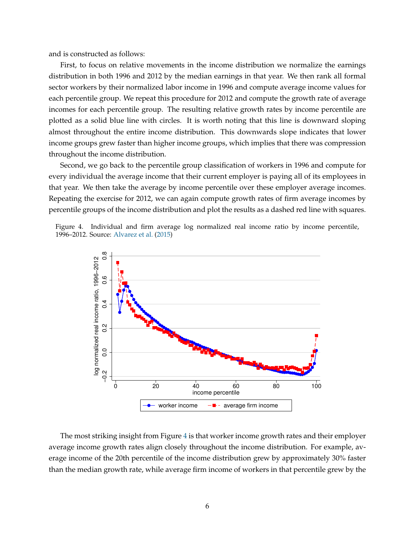and is constructed as follows:

First, to focus on relative movements in the income distribution we normalize the earnings distribution in both 1996 and 2012 by the median earnings in that year. We then rank all formal sector workers by their normalized labor income in 1996 and compute average income values for each percentile group. We repeat this procedure for 2012 and compute the growth rate of average incomes for each percentile group. The resulting relative growth rates by income percentile are plotted as a solid blue line with circles. It is worth noting that this line is downward sloping almost throughout the entire income distribution. This downwards slope indicates that lower income groups grew faster than higher income groups, which implies that there was compression throughout the income distribution.

Second, we go back to the percentile group classification of workers in 1996 and compute for every individual the average income that their current employer is paying all of its employees in that year. We then take the average by income percentile over these employer average incomes. Repeating the exercise for 2012, we can again compute growth rates of firm average incomes by percentile groups of the income distribution and plot the results as a dashed red line with squares.

Figure 4. Individual and firm average log normalized real income ratio by income percentile, 1996–2012. Source: Alvarez et al. (2015)



The most striking insight from Figure 4 is that worker income growth rates and their employer average income growth rates align closely throughout the income distribution. For example, average income of the 20th percentile of the income distribution grew by approximately 30% faster than the median growth rate, while average firm income of workers in that percentile grew by the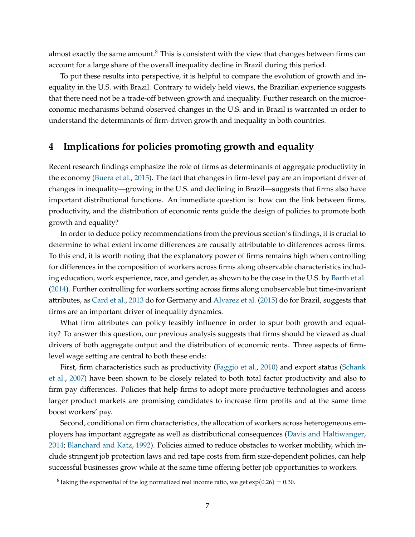almost exactly the same amount. $8$  This is consistent with the view that changes between firms can account for a large share of the overall inequality decline in Brazil during this period.

To put these results into perspective, it is helpful to compare the evolution of growth and inequality in the U.S. with Brazil. Contrary to widely held views, the Brazilian experience suggests that there need not be a trade-off between growth and inequality. Further research on the microeconomic mechanisms behind observed changes in the U.S. and in Brazil is warranted in order to understand the determinants of firm-driven growth and inequality in both countries.

# **4 Implications for policies promoting growth and equality**

Recent research findings emphasize the role of firms as determinants of aggregate productivity in the economy (Buera et al., 2015). The fact that changes in firm-level pay are an important driver of changes in inequality—growing in the U.S. and declining in Brazil—suggests that firms also have important distributional functions. An immediate question is: how can the link between firms, productivity, and the distribution of economic rents guide the design of policies to promote both growth and equality?

In order to deduce policy recommendations from the previous section's findings, it is crucial to determine to what extent income differences are causally attributable to differences across firms. To this end, it is worth noting that the explanatory power of firms remains high when controlling for differences in the composition of workers across firms along observable characteristics including education, work experience, race, and gender, as shown to be the case in the U.S. by Barth et al. (2014). Further controlling for workers sorting across firms along unobservable but time-invariant attributes, as Card et al., 2013 do for Germany and Alvarez et al. (2015) do for Brazil, suggests that firms are an important driver of inequality dynamics.

What firm attributes can policy feasibly influence in order to spur both growth and equality? To answer this question, our previous analysis suggests that firms should be viewed as dual drivers of both aggregate output and the distribution of economic rents. Three aspects of firmlevel wage setting are central to both these ends:

First, firm characteristics such as productivity (Faggio et al., 2010) and export status (Schank et al., 2007) have been shown to be closely related to both total factor productivity and also to firm pay differences. Policies that help firms to adopt more productive technologies and access larger product markets are promising candidates to increase firm profits and at the same time boost workers' pay.

Second, conditional on firm characteristics, the allocation of workers across heterogeneous employers has important aggregate as well as distributional consequences (Davis and Haltiwanger, 2014; Blanchard and Katz, 1992). Policies aimed to reduce obstacles to worker mobility, which include stringent job protection laws and red tape costs from firm size-dependent policies, can help successful businesses grow while at the same time offering better job opportunities to workers.

<sup>&</sup>lt;sup>8</sup>Taking the exponential of the log normalized real income ratio, we get  $\exp(0.26) = 0.30$ .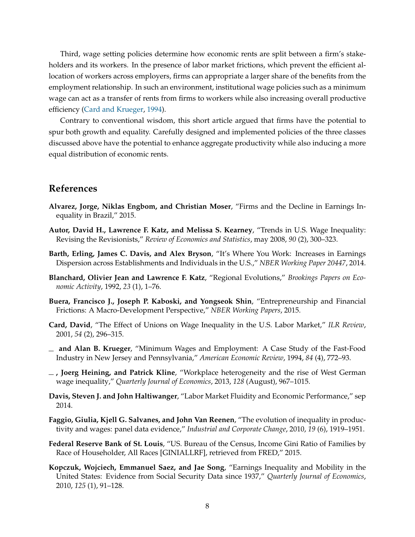Third, wage setting policies determine how economic rents are split between a firm's stakeholders and its workers. In the presence of labor market frictions, which prevent the efficient allocation of workers across employers, firms can appropriate a larger share of the benefits from the employment relationship. In such an environment, institutional wage policies such as a minimum wage can act as a transfer of rents from firms to workers while also increasing overall productive efficiency (Card and Krueger, 1994).

Contrary to conventional wisdom, this short article argued that firms have the potential to spur both growth and equality. Carefully designed and implemented policies of the three classes discussed above have the potential to enhance aggregate productivity while also inducing a more equal distribution of economic rents.

#### **References**

- **Alvarez, Jorge, Niklas Engbom, and Christian Moser**, "Firms and the Decline in Earnings Inequality in Brazil," 2015.
- **Autor, David H., Lawrence F. Katz, and Melissa S. Kearney**, "Trends in U.S. Wage Inequality: Revising the Revisionists," *Review of Economics and Statistics*, may 2008, *90* (2), 300–323.
- **Barth, Erling, James C. Davis, and Alex Bryson**, "It's Where You Work: Increases in Earnings Dispersion across Establishments and Individuals in the U.S.," *NBER Working Paper 20447*, 2014.
- **Blanchard, Olivier Jean and Lawrence F. Katz**, "Regional Evolutions," *Brookings Papers on Economic Activity*, 1992, *23* (1), 1–76.
- **Buera, Francisco J., Joseph P. Kaboski, and Yongseok Shin**, "Entrepreneurship and Financial Frictions: A Macro-Development Perspective," *NBER Working Papers*, 2015.
- **Card, David**, "The Effect of Unions on Wage Inequality in the U.S. Labor Market," *ILR Review*, 2001, *54* (2), 296–315.
- **and Alan B. Krueger**, "Minimum Wages and Employment: A Case Study of the Fast-Food Industry in New Jersey and Pennsylvania," *American Economic Review*, 1994, *84* (4), 772–93.
- **, Joerg Heining, and Patrick Kline**, "Workplace heterogeneity and the rise of West German wage inequality," *Quarterly Journal of Economics*, 2013, *128* (August), 967–1015.
- **Davis, Steven J. and John Haltiwanger**, "Labor Market Fluidity and Economic Performance," sep 2014.
- **Faggio, Giulia, Kjell G. Salvanes, and John Van Reenen**, "The evolution of inequality in productivity and wages: panel data evidence," *Industrial and Corporate Change*, 2010, *19* (6), 1919–1951.
- **Federal Reserve Bank of St. Louis**, "US. Bureau of the Census, Income Gini Ratio of Families by Race of Householder, All Races [GINIALLRF], retrieved from FRED," 2015.
- **Kopczuk, Wojciech, Emmanuel Saez, and Jae Song**, "Earnings Inequality and Mobility in the United States: Evidence from Social Security Data since 1937," *Quarterly Journal of Economics*, 2010, *125* (1), 91–128.